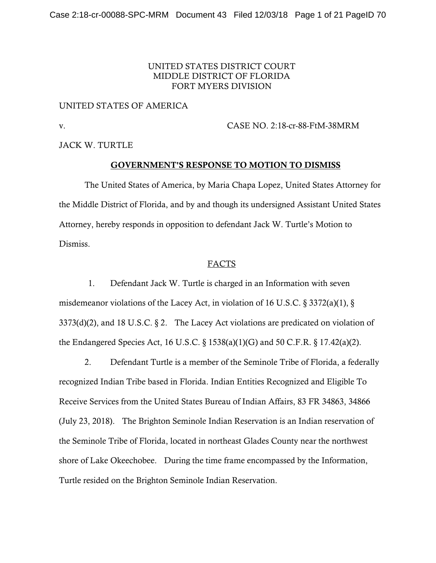## UNITED STATES DISTRICT COURT MIDDLE DISTRICT OF FLORIDA FORT MYERS DIVISION

#### UNITED STATES OF AMERICA

v. CASE NO. 2:18-cr-88-FtM-38MRM

JACK W. TURTLE

# GOVERNMENT'S RESPONSE TO MOTION TO DISMISS

 The United States of America, by Maria Chapa Lopez, United States Attorney for the Middle District of Florida, and by and though its undersigned Assistant United States Attorney, hereby responds in opposition to defendant Jack W. Turtle's Motion to Dismiss.

## FACTS

 1. Defendant Jack W. Turtle is charged in an Information with seven misdemeanor violations of the Lacey Act, in violation of 16 U.S.C. § 3372(a)(1), §  $3373(d)(2)$ , and 18 U.S.C. § 2. The Lacey Act violations are predicated on violation of the Endangered Species Act, 16 U.S.C. § 1538(a)(1)(G) and 50 C.F.R. § 17.42(a)(2).

 2. Defendant Turtle is a member of the Seminole Tribe of Florida, a federally recognized Indian Tribe based in Florida. Indian Entities Recognized and Eligible To Receive Services from the United States Bureau of Indian Affairs, 83 FR 34863, 34866 (July 23, 2018). The Brighton Seminole Indian Reservation is an Indian reservation of the Seminole Tribe of Florida, located in northeast Glades County near the northwest shore of Lake Okeechobee. During the time frame encompassed by the Information, Turtle resided on the Brighton Seminole Indian Reservation.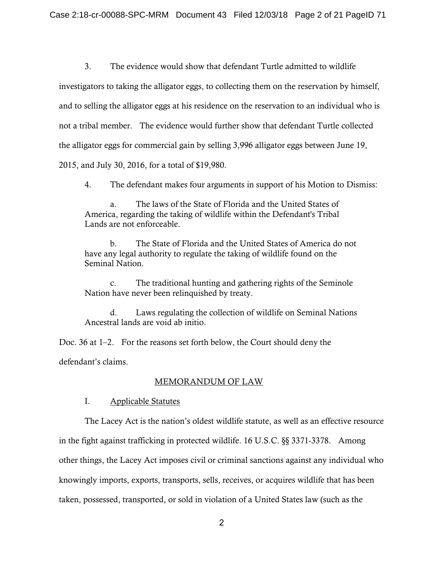3. The evidence would show that defendant Turtle admitted to wildlife investigators to taking the alligator eggs, to collecting them on the reservation by himself, and to selling the alligator eggs at his residence on the reservation to an individual who is not a tribal member. The evidence would further show that defendant Turtle collected the alligator eggs for commercial gain by selling 3,996 alligator eggs between June 19, 2015, and July 30, 2016, for a total of \$19,980.

4. The defendant makes four arguments in support of his Motion to Dismiss:

 a. The laws of the State of Florida and the United States of America, regarding the taking of wildlife within the Defendant's Tribal Lands are not enforceable.

 b. The State of Florida and the United States of America do not have any legal authority to regulate the taking of wildlife found on the Seminal Nation.

 c. The traditional hunting and gathering rights of the Seminole Nation have never been relinquished by treaty.

 d. Laws regulating the collection of wildlife on Seminal Nations Ancestral lands are void ab initio.

Doc. 36 at 1–2. For the reasons set forth below, the Court should deny the defendant's claims.

# MEMORANDUM OF LAW

# I. Applicable Statutes

 The Lacey Act is the nation's oldest wildlife statute, as well as an effective resource in the fight against trafficking in protected wildlife. 16 U.S.C. §§ 3371-3378. Among other things, the Lacey Act imposes civil or criminal sanctions against any individual who knowingly imports, exports, transports, sells, receives, or acquires wildlife that has been taken, possessed, transported, or sold in violation of a United States law (such as the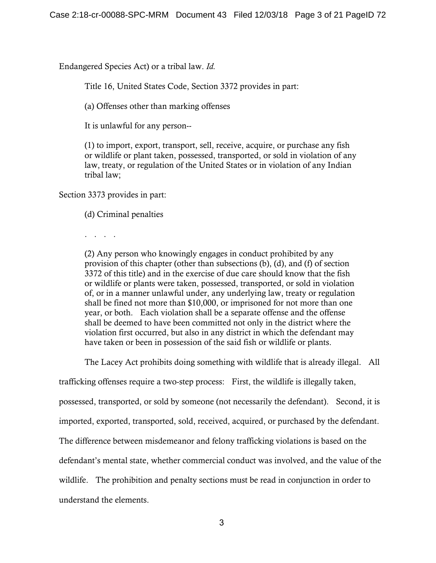Endangered Species Act) or a tribal law. *Id.* 

Title 16, United States Code, Section 3372 provides in part:

(a) Offenses other than marking offenses

It is unlawful for any person--

(1) to import, export, transport, sell, receive, acquire, or purchase any fish or wildlife or plant taken, possessed, transported, or sold in violation of any law, treaty, or regulation of the United States or in violation of any Indian tribal law;

Section 3373 provides in part:

(d) Criminal penalties

. . . .

(2) Any person who knowingly engages in conduct prohibited by any provision of this chapter (other than subsections (b), (d), and (f) of section 3372 of this title) and in the exercise of due care should know that the fish or wildlife or plants were taken, possessed, transported, or sold in violation of, or in a manner unlawful under, any underlying law, treaty or regulation shall be fined not more than \$10,000, or imprisoned for not more than one year, or both. Each violation shall be a separate offense and the offense shall be deemed to have been committed not only in the district where the violation first occurred, but also in any district in which the defendant may have taken or been in possession of the said fish or wildlife or plants.

The Lacey Act prohibits doing something with wildlife that is already illegal. All

trafficking offenses require a two-step process: First, the wildlife is illegally taken,

possessed, transported, or sold by someone (not necessarily the defendant). Second, it is

imported, exported, transported, sold, received, acquired, or purchased by the defendant.

The difference between misdemeanor and felony trafficking violations is based on the

defendant's mental state, whether commercial conduct was involved, and the value of the

wildlife. The prohibition and penalty sections must be read in conjunction in order to

understand the elements.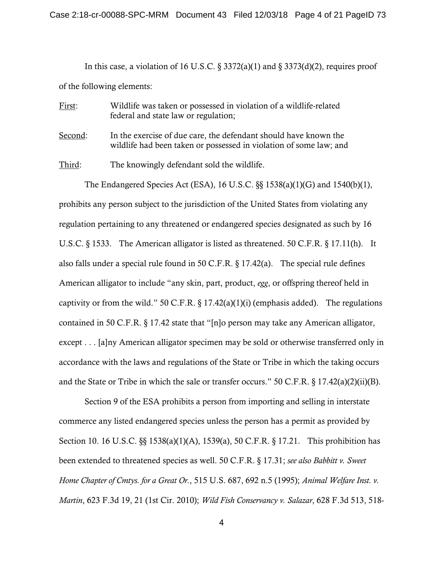In this case, a violation of 16 U.S.C.  $\S 3372(a)(1)$  and  $\S 3373(d)(2)$ , requires proof of the following elements:

- First: Wildlife was taken or possessed in violation of a wildlife-related federal and state law or regulation;
- Second: In the exercise of due care, the defendant should have known the wildlife had been taken or possessed in violation of some law; and

Third: The knowingly defendant sold the wildlife.

 The Endangered Species Act (ESA), 16 U.S.C. §§ 1538(a)(1)(G) and 1540(b)(1), prohibits any person subject to the jurisdiction of the United States from violating any regulation pertaining to any threatened or endangered species designated as such by 16 U.S.C. § 1533. The American alligator is listed as threatened. 50 C.F.R. § 17.11(h). It also falls under a special rule found in 50 C.F.R. § 17.42(a). The special rule defines American alligator to include "any skin, part, product, *egg*, or offspring thereof held in captivity or from the wild." 50 C.F.R.  $\S 17.42(a)(1)(i)$  (emphasis added). The regulations contained in 50 C.F.R. § 17.42 state that "[n]o person may take any American alligator, except . . . [a]ny American alligator specimen may be sold or otherwise transferred only in accordance with the laws and regulations of the State or Tribe in which the taking occurs and the State or Tribe in which the sale or transfer occurs." 50 C.F.R. § 17.42(a)(2)(ii)(B).

 Section 9 of the ESA prohibits a person from importing and selling in interstate commerce any listed endangered species unless the person has a permit as provided by Section 10. 16 U.S.C. §§ 1538(a)(1)(A), 1539(a), 50 C.F.R. § 17.21. This prohibition has been extended to threatened species as well. 50 C.F.R. § 17.31; *see also Babbitt v. Sweet Home Chapter of Cmtys. for a Great Or.*, 515 U.S. 687, 692 n.5 (1995); *Animal Welfare Inst. v. Martin*, 623 F.3d 19, 21 (1st Cir. 2010); *Wild Fish Conservancy v. Salazar*, 628 F.3d 513, 518-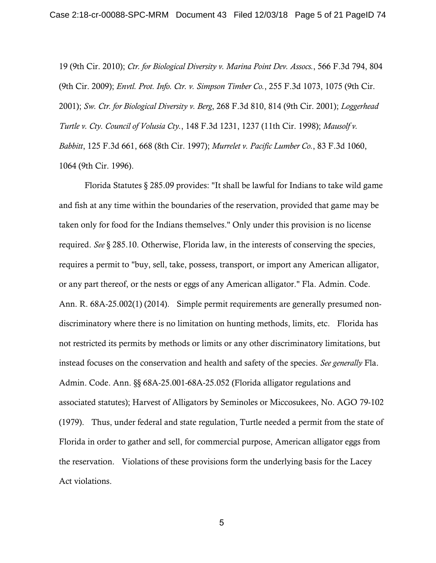19 (9th Cir. 2010); *Ctr. for Biological Diversity v. Marina Point Dev. Assocs.*, 566 F.3d 794, 804 (9th Cir. 2009); *Envtl. Prot. Info. Ctr. v. Simpson Timber Co.*, 255 F.3d 1073, 1075 (9th Cir. 2001); *Sw. Ctr. for Biological Diversity v. Berg*, 268 F.3d 810, 814 (9th Cir. 2001); *Loggerhead Turtle v. Cty. Council of Volusia Cty.*, 148 F.3d 1231, 1237 (11th Cir. 1998); *Mausolf v. Babbitt*, 125 F.3d 661, 668 (8th Cir. 1997); *Murrelet v. Pacific Lumber Co.*, 83 F.3d 1060, 1064 (9th Cir. 1996).

 Florida Statutes § 285.09 provides: "It shall be lawful for Indians to take wild game and fish at any time within the boundaries of the reservation, provided that game may be taken only for food for the Indians themselves." Only under this provision is no license required. *See* § 285.10. Otherwise, Florida law, in the interests of conserving the species, requires a permit to "buy, sell, take, possess, transport, or import any American alligator, or any part thereof, or the nests or eggs of any American alligator." Fla. Admin. Code. Ann. R. 68A-25.002(1) (2014). Simple permit requirements are generally presumed nondiscriminatory where there is no limitation on hunting methods, limits, etc. Florida has not restricted its permits by methods or limits or any other discriminatory limitations, but instead focuses on the conservation and health and safety of the species. *See generally* Fla. Admin. Code. Ann. §§ 68A-25.001-68A-25.052 (Florida alligator regulations and associated statutes); Harvest of Alligators by Seminoles or Miccosukees, No. AGO 79-102 (1979). Thus, under federal and state regulation, Turtle needed a permit from the state of Florida in order to gather and sell, for commercial purpose, American alligator eggs from the reservation. Violations of these provisions form the underlying basis for the Lacey Act violations.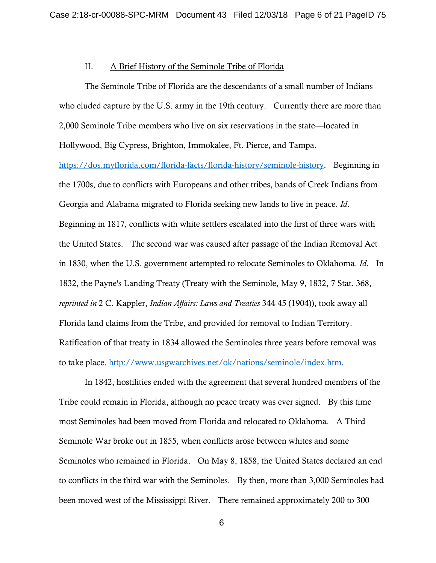#### II. A Brief History of the Seminole Tribe of Florida

 The Seminole Tribe of Florida are the descendants of a small number of Indians who eluded capture by the U.S. army in the 19th century. Currently there are more than 2,000 Seminole Tribe members who live on six reservations in the state—located in Hollywood, Big Cypress, Brighton, Immokalee, Ft. Pierce, and Tampa. https://dos.myflorida.com/florida-facts/florida-history/seminole-history. Beginning in the 1700s, due to conflicts with Europeans and other tribes, bands of Creek Indians from Georgia and Alabama migrated to Florida seeking new lands to live in peace. *Id*. Beginning in 1817, conflicts with white settlers escalated into the first of three wars with the United States. The second war was caused after passage of the Indian Removal Act in 1830, when the U.S. government attempted to relocate Seminoles to Oklahoma. *Id*. In 1832, the Payne's Landing Treaty (Treaty with the Seminole, May 9, 1832, 7 Stat. 368, *reprinted in* 2 C. Kappler, *Indian Affairs: Laws and Treaties* 344-45 (1904)), took away all Florida land claims from the Tribe, and provided for removal to Indian Territory. Ratification of that treaty in 1834 allowed the Seminoles three years before removal was to take place. http://www.usgwarchives.net/ok/nations/seminole/index.htm.

 In 1842, hostilities ended with the agreement that several hundred members of the Tribe could remain in Florida, although no peace treaty was ever signed. By this time most Seminoles had been moved from Florida and relocated to Oklahoma. A Third Seminole War broke out in 1855, when conflicts arose between whites and some Seminoles who remained in Florida. On May 8, 1858, the United States declared an end to conflicts in the third war with the Seminoles. By then, more than 3,000 Seminoles had been moved west of the Mississippi River. There remained approximately 200 to 300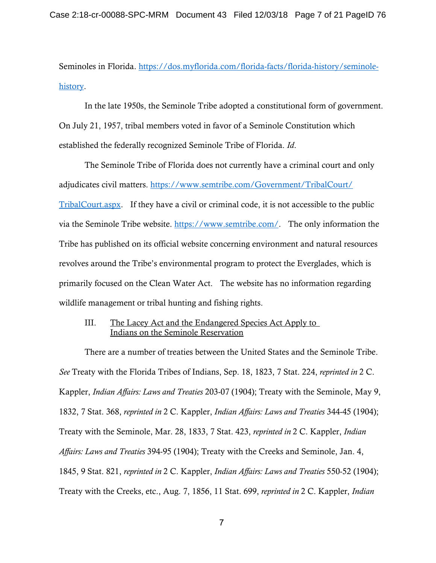Seminoles in Florida. https://dos.myflorida.com/florida-facts/florida-history/seminolehistory.

 In the late 1950s, the Seminole Tribe adopted a constitutional form of government. On July 21, 1957, tribal members voted in favor of a Seminole Constitution which established the federally recognized Seminole Tribe of Florida. *Id*.

 The Seminole Tribe of Florida does not currently have a criminal court and only adjudicates civil matters. https://www.semtribe.com/Government/TribalCourt/ TribalCourt.aspx. If they have a civil or criminal code, it is not accessible to the public via the Seminole Tribe website. https://www.semtribe.com/. The only information the Tribe has published on its official website concerning environment and natural resources revolves around the Tribe's environmental program to protect the Everglades, which is primarily focused on the Clean Water Act. The website has no information regarding wildlife management or tribal hunting and fishing rights.

#### III. The Lacey Act and the Endangered Species Act Apply to Indians on the Seminole Reservation

 There are a number of treaties between the United States and the Seminole Tribe. *See* Treaty with the Florida Tribes of Indians, Sep. 18, 1823, 7 Stat. 224, *reprinted in* 2 C. Kappler, *Indian Affairs: Laws and Treaties* 203-07 (1904); Treaty with the Seminole, May 9, 1832, 7 Stat. 368, *reprinted in* 2 C. Kappler, *Indian Affairs: Laws and Treaties* 344-45 (1904); Treaty with the Seminole, Mar. 28, 1833, 7 Stat. 423, *reprinted in* 2 C. Kappler, *Indian Affairs: Laws and Treaties* 394-95 (1904); Treaty with the Creeks and Seminole, Jan. 4, 1845, 9 Stat. 821, *reprinted in* 2 C. Kappler, *Indian Affairs: Laws and Treaties* 550-52 (1904); Treaty with the Creeks, etc., Aug. 7, 1856, 11 Stat. 699, *reprinted in* 2 C. Kappler, *Indian*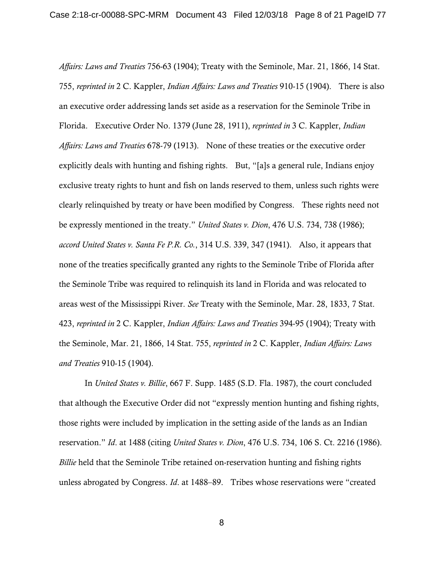*Affairs: Laws and Treaties* 756-63 (1904); Treaty with the Seminole, Mar. 21, 1866, 14 Stat. 755, *reprinted in* 2 C. Kappler, *Indian Affairs: Laws and Treaties* 910-15 (1904). There is also an executive order addressing lands set aside as a reservation for the Seminole Tribe in Florida. Executive Order No. 1379 (June 28, 1911), *reprinted in* 3 C. Kappler, *Indian Affairs: Laws and Treaties* 678-79 (1913). None of these treaties or the executive order explicitly deals with hunting and fishing rights. But, "[a]s a general rule, Indians enjoy exclusive treaty rights to hunt and fish on lands reserved to them, unless such rights were clearly relinquished by treaty or have been modified by Congress. These rights need not be expressly mentioned in the treaty." *United States v. Dion*, 476 U.S. 734, 738 (1986); *accord United States v. Santa Fe P.R. Co.*, 314 U.S. 339, 347 (1941). Also, it appears that none of the treaties specifically granted any rights to the Seminole Tribe of Florida after the Seminole Tribe was required to relinquish its land in Florida and was relocated to areas west of the Mississippi River. *See* Treaty with the Seminole, Mar. 28, 1833, 7 Stat. 423, *reprinted in* 2 C. Kappler, *Indian Affairs: Laws and Treaties* 394-95 (1904); Treaty with the Seminole, Mar. 21, 1866, 14 Stat. 755, *reprinted in* 2 C. Kappler, *Indian Affairs: Laws and Treaties* 910-15 (1904).

 In *United States v. Billie*, 667 F. Supp. 1485 (S.D. Fla. 1987), the court concluded that although the Executive Order did not "expressly mention hunting and fishing rights, those rights were included by implication in the setting aside of the lands as an Indian reservation." *Id*. at 1488 (citing *United States v. Dion*, 476 U.S. 734, 106 S. Ct. 2216 (1986). *Billie* held that the Seminole Tribe retained on-reservation hunting and fishing rights unless abrogated by Congress. *Id*. at 1488–89. Tribes whose reservations were "created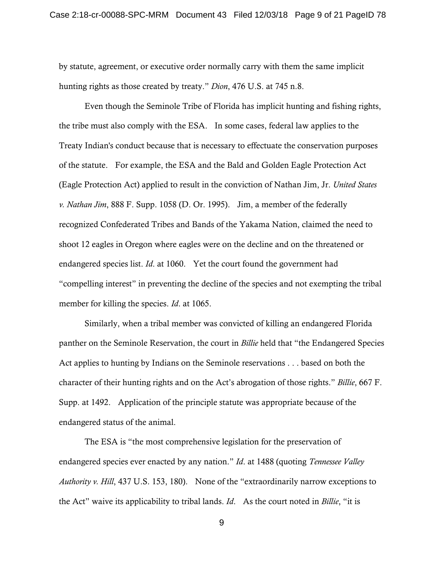by statute, agreement, or executive order normally carry with them the same implicit hunting rights as those created by treaty." *Dion*, 476 U.S. at 745 n.8.

 Even though the Seminole Tribe of Florida has implicit hunting and fishing rights, the tribe must also comply with the ESA. In some cases, federal law applies to the Treaty Indian's conduct because that is necessary to effectuate the conservation purposes of the statute. For example, the ESA and the Bald and Golden Eagle Protection Act (Eagle Protection Act) applied to result in the conviction of Nathan Jim, Jr. *United States v. Nathan Jim*, 888 F. Supp. 1058 (D. Or. 1995). Jim, a member of the federally recognized Confederated Tribes and Bands of the Yakama Nation, claimed the need to shoot 12 eagles in Oregon where eagles were on the decline and on the threatened or endangered species list. *Id*. at 1060. Yet the court found the government had "compelling interest" in preventing the decline of the species and not exempting the tribal member for killing the species. *Id*. at 1065.

 Similarly, when a tribal member was convicted of killing an endangered Florida panther on the Seminole Reservation, the court in *Billie* held that "the Endangered Species Act applies to hunting by Indians on the Seminole reservations . . . based on both the character of their hunting rights and on the Act's abrogation of those rights." *Billie*, 667 F. Supp. at 1492. Application of the principle statute was appropriate because of the endangered status of the animal.

 The ESA is "the most comprehensive legislation for the preservation of endangered species ever enacted by any nation." *Id*. at 1488 (quoting *Tennessee Valley Authority v. Hill*, 437 U.S. 153, 180). None of the "extraordinarily narrow exceptions to the Act" waive its applicability to tribal lands. *Id*. As the court noted in *Billie*, "it is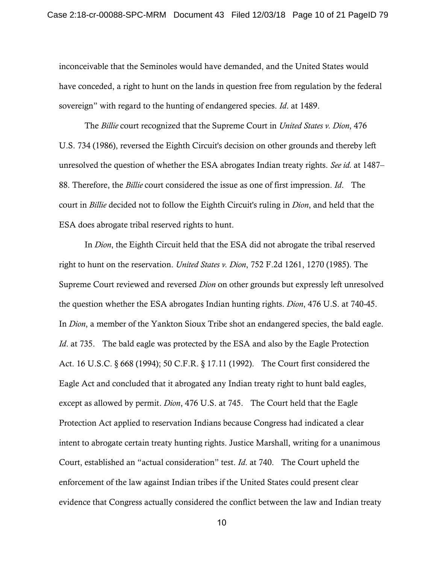inconceivable that the Seminoles would have demanded, and the United States would have conceded, a right to hunt on the lands in question free from regulation by the federal sovereign" with regard to the hunting of endangered species. *Id*. at 1489.

 The *Billie* court recognized that the Supreme Court in *United States v. Dion*, 476 U.S. 734 (1986), reversed the Eighth Circuit's decision on other grounds and thereby left unresolved the question of whether the ESA abrogates Indian treaty rights. *See id.* at 1487– 88. Therefore, the *Billie* court considered the issue as one of first impression. *Id*. The court in *Billie* decided not to follow the Eighth Circuit's ruling in *Dion*, and held that the ESA does abrogate tribal reserved rights to hunt.

 In *Dion*, the Eighth Circuit held that the ESA did not abrogate the tribal reserved right to hunt on the reservation. *United States v. Dion*, 752 F.2d 1261, 1270 (1985). The Supreme Court reviewed and reversed *Dion* on other grounds but expressly left unresolved the question whether the ESA abrogates Indian hunting rights. *Dion*, 476 U.S. at 740-45. In *Dion*, a member of the Yankton Sioux Tribe shot an endangered species, the bald eagle. *Id.* at 735. The bald eagle was protected by the ESA and also by the Eagle Protection Act. 16 U.S.C. § 668 (1994); 50 C.F.R. § 17.11 (1992). The Court first considered the Eagle Act and concluded that it abrogated any Indian treaty right to hunt bald eagles, except as allowed by permit. *Dion*, 476 U.S. at 745. The Court held that the Eagle Protection Act applied to reservation Indians because Congress had indicated a clear intent to abrogate certain treaty hunting rights. Justice Marshall, writing for a unanimous Court, established an "actual consideration" test. *Id*. at 740. The Court upheld the enforcement of the law against Indian tribes if the United States could present clear evidence that Congress actually considered the conflict between the law and Indian treaty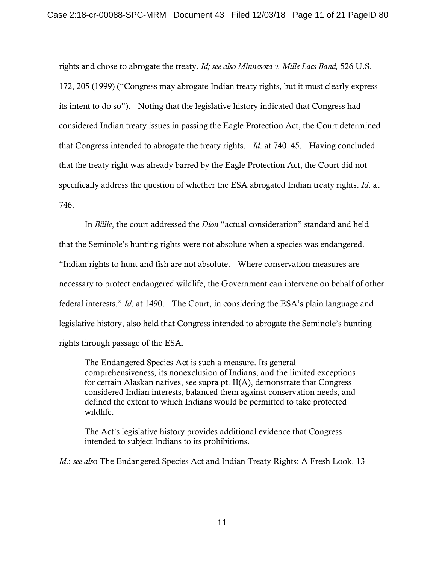rights and chose to abrogate the treaty. *Id; see also Minnesota v. Mille Lacs Band,* 526 U.S. 172, 205 (1999) ("Congress may abrogate Indian treaty rights, but it must clearly express its intent to do so"). Noting that the legislative history indicated that Congress had considered Indian treaty issues in passing the Eagle Protection Act, the Court determined that Congress intended to abrogate the treaty rights. *Id*. at 740–45. Having concluded that the treaty right was already barred by the Eagle Protection Act, the Court did not specifically address the question of whether the ESA abrogated Indian treaty rights. *Id*. at 746.

 In *Billie*, the court addressed the *Dion* "actual consideration" standard and held that the Seminole's hunting rights were not absolute when a species was endangered. "Indian rights to hunt and fish are not absolute. Where conservation measures are necessary to protect endangered wildlife, the Government can intervene on behalf of other federal interests." *Id*. at 1490. The Court, in considering the ESA's plain language and legislative history, also held that Congress intended to abrogate the Seminole's hunting rights through passage of the ESA.

The Endangered Species Act is such a measure. Its general comprehensiveness, its nonexclusion of Indians, and the limited exceptions for certain Alaskan natives, see supra pt. II(A), demonstrate that Congress considered Indian interests, balanced them against conservation needs, and defined the extent to which Indians would be permitted to take protected wildlife.

The Act's legislative history provides additional evidence that Congress intended to subject Indians to its prohibitions.

*Id.*; *see als*o The Endangered Species Act and Indian Treaty Rights: A Fresh Look, 13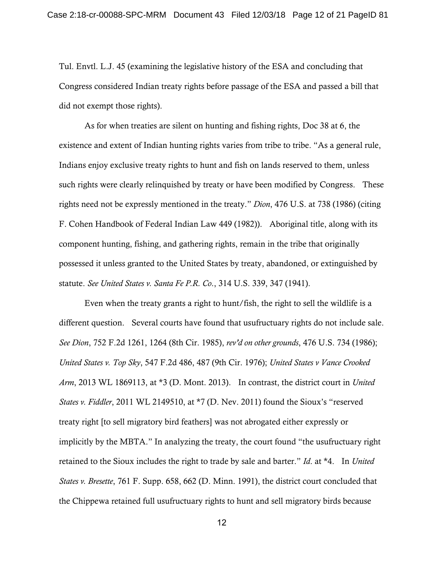Tul. Envtl. L.J. 45 (examining the legislative history of the ESA and concluding that Congress considered Indian treaty rights before passage of the ESA and passed a bill that did not exempt those rights).

 As for when treaties are silent on hunting and fishing rights, Doc 38 at 6, the existence and extent of Indian hunting rights varies from tribe to tribe. "As a general rule, Indians enjoy exclusive treaty rights to hunt and fish on lands reserved to them, unless such rights were clearly relinquished by treaty or have been modified by Congress. These rights need not be expressly mentioned in the treaty." *Dion*, 476 U.S. at 738 (1986) (citing F. Cohen Handbook of Federal Indian Law 449 (1982)). Aboriginal title, along with its component hunting, fishing, and gathering rights, remain in the tribe that originally possessed it unless granted to the United States by treaty, abandoned, or extinguished by statute. *See United States v. Santa Fe P.R. Co*., 314 U.S. 339, 347 (1941).

Even when the treaty grants a right to hunt/fish, the right to sell the wildlife is a different question. Several courts have found that usufructuary rights do not include sale. *See Dion*, 752 F.2d 1261, 1264 (8th Cir. 1985), *rev'd on other grounds*, 476 U.S. 734 (1986); *United States v. Top Sky*, 547 F.2d 486, 487 (9th Cir. 1976); *United States v Vance Crooked Arm*, 2013 WL 1869113, at \*3 (D. Mont. 2013). In contrast, the district court in *United States v. Fiddler*, 2011 WL 2149510, at \*7 (D. Nev. 2011) found the Sioux's "reserved treaty right [to sell migratory bird feathers] was not abrogated either expressly or implicitly by the MBTA." In analyzing the treaty, the court found "the usufructuary right retained to the Sioux includes the right to trade by sale and barter." *Id*. at \*4. In *United States v. Bresette*, 761 F. Supp. 658, 662 (D. Minn. 1991), the district court concluded that the Chippewa retained full usufructuary rights to hunt and sell migratory birds because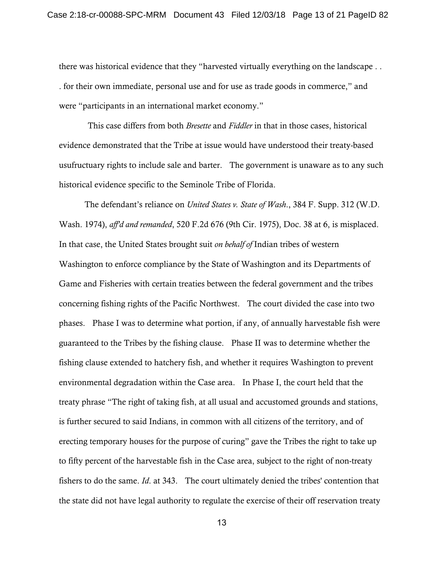there was historical evidence that they "harvested virtually everything on the landscape . . . for their own immediate, personal use and for use as trade goods in commerce," and were "participants in an international market economy."

This case differs from both *Bresette* and *Fiddler* in that in those cases, historical evidence demonstrated that the Tribe at issue would have understood their treaty-based usufructuary rights to include sale and barter. The government is unaware as to any such historical evidence specific to the Seminole Tribe of Florida.

 The defendant's reliance on *United States v. State of Wash*., 384 F. Supp. 312 (W.D. Wash. 1974), *aff'd and remanded*, 520 F.2d 676 (9th Cir. 1975), Doc. 38 at 6, is misplaced. In that case, the United States brought suit *on behalf of* Indian tribes of western Washington to enforce compliance by the State of Washington and its Departments of Game and Fisheries with certain treaties between the federal government and the tribes concerning fishing rights of the Pacific Northwest. The court divided the case into two phases. Phase I was to determine what portion, if any, of annually harvestable fish were guaranteed to the Tribes by the fishing clause. Phase II was to determine whether the fishing clause extended to hatchery fish, and whether it requires Washington to prevent environmental degradation within the Case area. In Phase I, the court held that the treaty phrase "The right of taking fish, at all usual and accustomed grounds and stations, is further secured to said Indians, in common with all citizens of the territory, and of erecting temporary houses for the purpose of curing" gave the Tribes the right to take up to fifty percent of the harvestable fish in the Case area, subject to the right of non-treaty fishers to do the same. *Id*. at 343. The court ultimately denied the tribes' contention that the state did not have legal authority to regulate the exercise of their off reservation treaty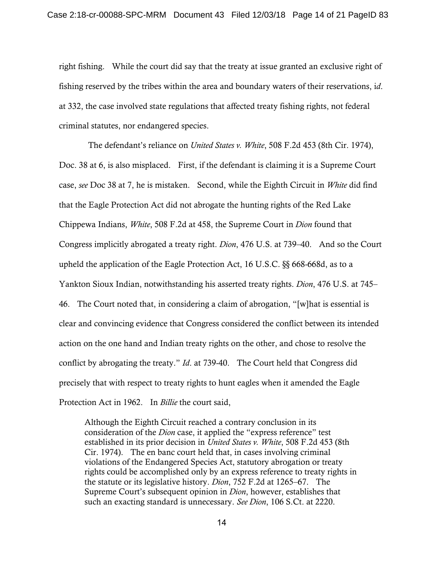right fishing. While the court did say that the treaty at issue granted an exclusive right of fishing reserved by the tribes within the area and boundary waters of their reservations, i*d*. at 332, the case involved state regulations that affected treaty fishing rights, not federal criminal statutes, nor endangered species.

 The defendant's reliance on *United States v. White*, 508 F.2d 453 (8th Cir. 1974), Doc. 38 at 6, is also misplaced. First, if the defendant is claiming it is a Supreme Court case, *see* Doc 38 at 7, he is mistaken. Second, while the Eighth Circuit in *White* did find that the Eagle Protection Act did not abrogate the hunting rights of the Red Lake Chippewa Indians, *White*, 508 F.2d at 458, the Supreme Court in *Dion* found that Congress implicitly abrogated a treaty right. *Dion*, 476 U.S. at 739–40. And so the Court upheld the application of the Eagle Protection Act, 16 U.S.C. §§ 668-668d, as to a Yankton Sioux Indian, notwithstanding his asserted treaty rights. *Dion*, 476 U.S. at 745– 46. The Court noted that, in considering a claim of abrogation, "[w]hat is essential is clear and convincing evidence that Congress considered the conflict between its intended action on the one hand and Indian treaty rights on the other, and chose to resolve the conflict by abrogating the treaty." *Id*. at 739-40. The Court held that Congress did precisely that with respect to treaty rights to hunt eagles when it amended the Eagle Protection Act in 1962. In *Billie* the court said,

Although the Eighth Circuit reached a contrary conclusion in its consideration of the *Dion* case, it applied the "express reference" test established in its prior decision in *United States v. White*, 508 F.2d 453 (8th Cir. 1974). The en banc court held that, in cases involving criminal violations of the Endangered Species Act, statutory abrogation or treaty rights could be accomplished only by an express reference to treaty rights in the statute or its legislative history. *Dion*, 752 F.2d at 1265–67. The Supreme Court's subsequent opinion in *Dion*, however, establishes that such an exacting standard is unnecessary. *See Dion*, 106 S.Ct. at 2220.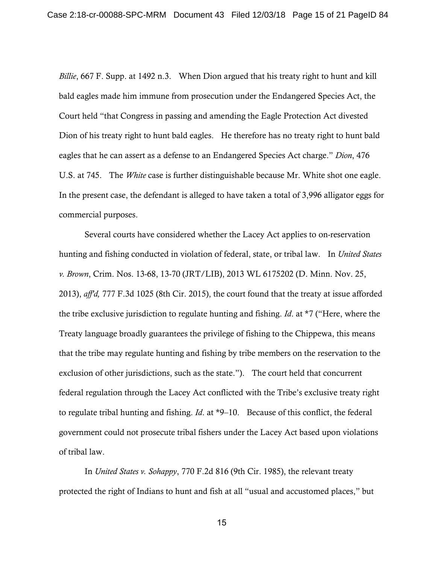*Billie*, 667 F. Supp. at 1492 n.3. When Dion argued that his treaty right to hunt and kill bald eagles made him immune from prosecution under the Endangered Species Act, the Court held "that Congress in passing and amending the Eagle Protection Act divested Dion of his treaty right to hunt bald eagles. He therefore has no treaty right to hunt bald eagles that he can assert as a defense to an Endangered Species Act charge." *Dion*, 476 U.S. at 745. The *White* case is further distinguishable because Mr. White shot one eagle. In the present case, the defendant is alleged to have taken a total of 3,996 alligator eggs for commercial purposes.

 Several courts have considered whether the Lacey Act applies to on-reservation hunting and fishing conducted in violation of federal, state, or tribal law. In *United States v. Brown*, Crim. Nos. 13-68, 13-70 (JRT/LIB), 2013 WL 6175202 (D. Minn. Nov. 25, 2013), *aff'd,* 777 F.3d 1025 (8th Cir. 2015), the court found that the treaty at issue afforded the tribe exclusive jurisdiction to regulate hunting and fishing. *Id*. at \*7 ("Here, where the Treaty language broadly guarantees the privilege of fishing to the Chippewa, this means that the tribe may regulate hunting and fishing by tribe members on the reservation to the exclusion of other jurisdictions, such as the state."). The court held that concurrent federal regulation through the Lacey Act conflicted with the Tribe's exclusive treaty right to regulate tribal hunting and fishing. *Id*. at \*9–10. Because of this conflict, the federal government could not prosecute tribal fishers under the Lacey Act based upon violations of tribal law.

 In *United States v. Sohappy*, 770 F.2d 816 (9th Cir. 1985), the relevant treaty protected the right of Indians to hunt and fish at all "usual and accustomed places," but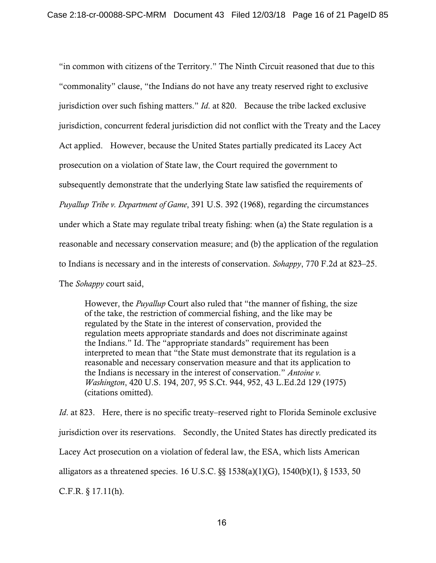"in common with citizens of the Territory." The Ninth Circuit reasoned that due to this "commonality" clause, "the Indians do not have any treaty reserved right to exclusive jurisdiction over such fishing matters." *Id*. at 820. Because the tribe lacked exclusive jurisdiction, concurrent federal jurisdiction did not conflict with the Treaty and the Lacey Act applied. However, because the United States partially predicated its Lacey Act prosecution on a violation of State law, the Court required the government to subsequently demonstrate that the underlying State law satisfied the requirements of *Puyallup Tribe v. Department of Game*, 391 U.S. 392 (1968), regarding the circumstances under which a State may regulate tribal treaty fishing: when (a) the State regulation is a reasonable and necessary conservation measure; and (b) the application of the regulation to Indians is necessary and in the interests of conservation. *Sohappy*, 770 F.2d at 823–25. The *Sohappy* court said,

However, the *Puyallup* Court also ruled that "the manner of fishing, the size of the take, the restriction of commercial fishing, and the like may be regulated by the State in the interest of conservation, provided the regulation meets appropriate standards and does not discriminate against the Indians." Id. The "appropriate standards" requirement has been interpreted to mean that "the State must demonstrate that its regulation is a reasonable and necessary conservation measure and that its application to the Indians is necessary in the interest of conservation." *Antoine v. Washington*, 420 U.S. 194, 207, 95 S.Ct. 944, 952, 43 L.Ed.2d 129 (1975) (citations omitted).

*Id.* at 823. Here, there is no specific treaty–reserved right to Florida Seminole exclusive jurisdiction over its reservations. Secondly, the United States has directly predicated its Lacey Act prosecution on a violation of federal law, the ESA, which lists American alligators as a threatened species. 16 U.S.C. §§ 1538(a)(1)(G), 1540(b)(1), § 1533, 50 C.F.R. § 17.11(h).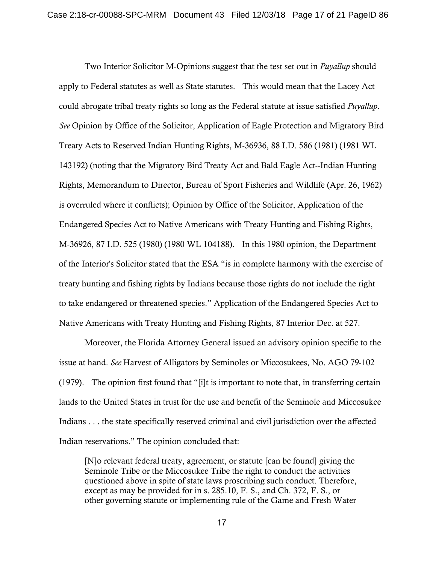Two Interior Solicitor M-Opinions suggest that the test set out in *Puyallup* should apply to Federal statutes as well as State statutes. This would mean that the Lacey Act could abrogate tribal treaty rights so long as the Federal statute at issue satisfied *Puyallup*. *See* Opinion by Office of the Solicitor, Application of Eagle Protection and Migratory Bird Treaty Acts to Reserved Indian Hunting Rights, M-36936, 88 I.D. 586 (1981) (1981 WL 143192) (noting that the Migratory Bird Treaty Act and Bald Eagle Act--Indian Hunting Rights, Memorandum to Director, Bureau of Sport Fisheries and Wildlife (Apr. 26, 1962) is overruled where it conflicts); Opinion by Office of the Solicitor, Application of the Endangered Species Act to Native Americans with Treaty Hunting and Fishing Rights, M-36926, 87 I.D. 525 (1980) (1980 WL 104188). In this 1980 opinion, the Department of the Interior's Solicitor stated that the ESA "is in complete harmony with the exercise of treaty hunting and fishing rights by Indians because those rights do not include the right to take endangered or threatened species." Application of the Endangered Species Act to Native Americans with Treaty Hunting and Fishing Rights, 87 Interior Dec. at 527.

 Moreover, the Florida Attorney General issued an advisory opinion specific to the issue at hand. *See* Harvest of Alligators by Seminoles or Miccosukees, No. AGO 79-102 (1979). The opinion first found that "[i]t is important to note that, in transferring certain lands to the United States in trust for the use and benefit of the Seminole and Miccosukee Indians . . . the state specifically reserved criminal and civil jurisdiction over the affected Indian reservations." The opinion concluded that:

[N]o relevant federal treaty, agreement, or statute [can be found] giving the Seminole Tribe or the Miccosukee Tribe the right to conduct the activities questioned above in spite of state laws proscribing such conduct. Therefore, except as may be provided for in s. 285.10, F. S., and Ch. 372, F. S., or other governing statute or implementing rule of the Game and Fresh Water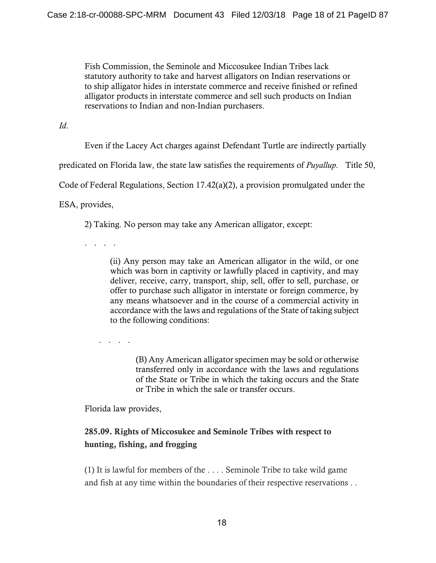Fish Commission, the Seminole and Miccosukee Indian Tribes lack statutory authority to take and harvest alligators on Indian reservations or to ship alligator hides in interstate commerce and receive finished or refined alligator products in interstate commerce and sell such products on Indian reservations to Indian and non-Indian purchasers.

*Id*.

Even if the Lacey Act charges against Defendant Turtle are indirectly partially

predicated on Florida law, the state law satisfies the requirements of *Puyallup*. Title 50,

Code of Federal Regulations, Section 17.42(a)(2), a provision promulgated under the

ESA, provides,

2) Taking. No person may take any American alligator, except:

. . . .

(ii) Any person may take an American alligator in the wild, or one which was born in captivity or lawfully placed in captivity, and may deliver, receive, carry, transport, ship, sell, offer to sell, purchase, or offer to purchase such alligator in interstate or foreign commerce, by any means whatsoever and in the course of a commercial activity in accordance with the laws and regulations of the State of taking subject to the following conditions:

. . . .

(B) Any American alligator specimen may be sold or otherwise transferred only in accordance with the laws and regulations of the State or Tribe in which the taking occurs and the State or Tribe in which the sale or transfer occurs.

Florida law provides,

# 285.09. Rights of Miccosukee and Seminole Tribes with respect to hunting, fishing, and frogging

(1) It is lawful for members of the . . . . Seminole Tribe to take wild game and fish at any time within the boundaries of their respective reservations . .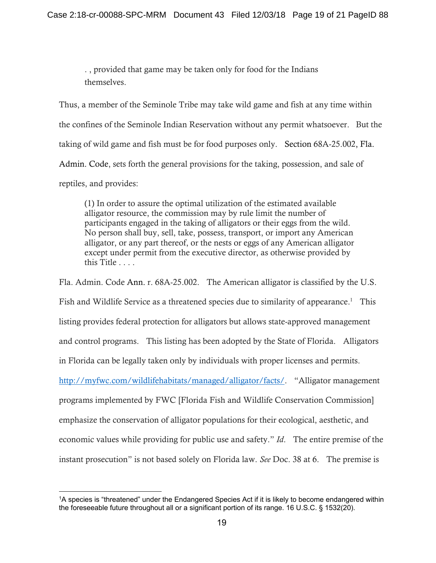. , provided that game may be taken only for food for the Indians themselves.

Thus, a member of the Seminole Tribe may take wild game and fish at any time within the confines of the Seminole Indian Reservation without any permit whatsoever. But the taking of wild game and fish must be for food purposes only. Section 68A-25.002, Fla. Admin. Code, sets forth the general provisions for the taking, possession, and sale of reptiles, and provides:

(1) In order to assure the optimal utilization of the estimated available alligator resource, the commission may by rule limit the number of participants engaged in the taking of alligators or their eggs from the wild. No person shall buy, sell, take, possess, transport, or import any American alligator, or any part thereof, or the nests or eggs of any American alligator except under permit from the executive director, as otherwise provided by this Title . . . .

Fla. Admin. Code Ann. r. 68A-25.002. The American alligator is classified by the U.S. Fish and Wildlife Service as a threatened species due to similarity of appearance.<sup>1</sup> This listing provides federal protection for alligators but allows state-approved management and control programs. This listing has been adopted by the State of Florida. Alligators in Florida can be legally taken only by individuals with proper licenses and permits. http://myfwc.com/wildlifehabitats/managed/alligator/facts/. "Alligator management programs implemented by FWC [Florida Fish and Wildlife Conservation Commission] emphasize the conservation of alligator populations for their ecological, aesthetic, and economic values while providing for public use and safety." *Id*. The entire premise of the instant prosecution" is not based solely on Florida law. *See* Doc. 38 at 6. The premise is

 $\overline{a}$ 

<sup>1</sup>A species is "threatened" under the Endangered Species Act if it is likely to become endangered within the foreseeable future throughout all or a significant portion of its range. 16 U.S.C. § 1532(20).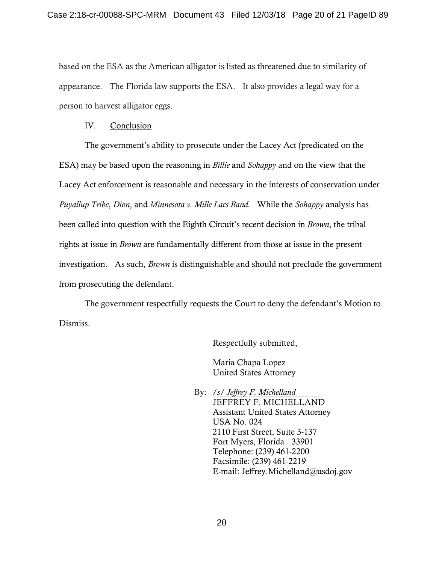based on the ESA as the American alligator is listed as threatened due to similarity of appearance. The Florida law supports the ESA. It also provides a legal way for a person to harvest alligator eggs.

#### IV. Conclusion

 The government's ability to prosecute under the Lacey Act (predicated on the ESA) may be based upon the reasoning in *Billie* and *Sohappy* and on the view that the Lacey Act enforcement is reasonable and necessary in the interests of conservation under *Puyallup Tribe*, *Dion*, and *Minnesota v. Mille Lacs Band.* While the *Sohappy* analysis has been called into question with the Eighth Circuit's recent decision in *Brown*, the tribal rights at issue in *Brown* are fundamentally different from those at issue in the present investigation. As such, *Brown* is distinguishable and should not preclude the government from prosecuting the defendant.

 The government respectfully requests the Court to deny the defendant's Motion to Dismiss.

Respectfully submitted,

Maria Chapa Lopez United States Attorney

 By: /*s/ Jeffrey F. Michelland*  JEFFREY F. MICHELLAND Assistant United States Attorney USA No. 024 2110 First Street, Suite 3-137 Fort Myers, Florida 33901 Telephone: (239) 461-2200 Facsimile: (239) 461-2219 E-mail: Jeffrey.Michelland@usdoj.gov